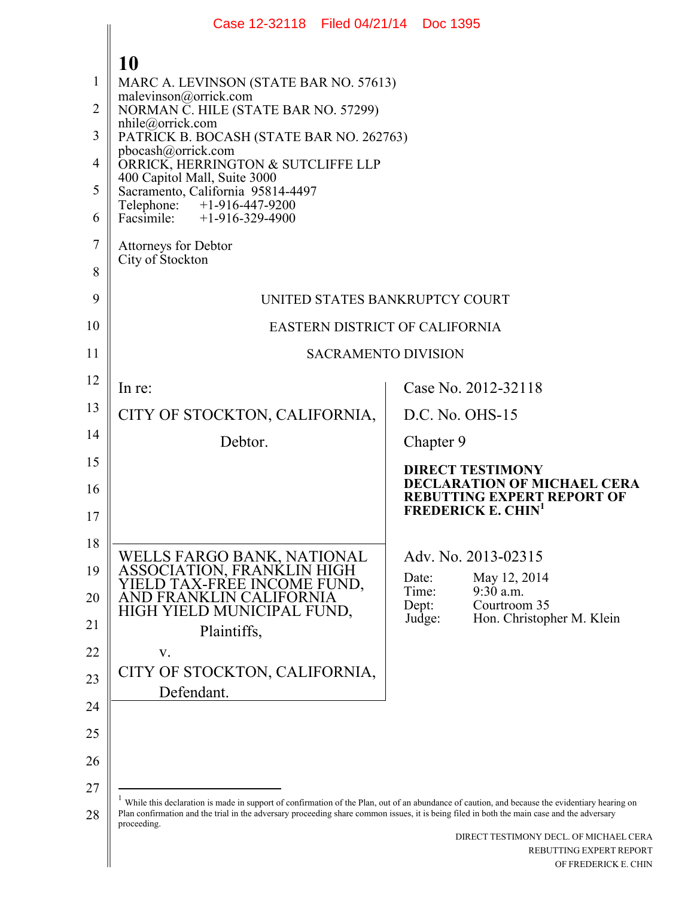|                                                   | Case 12-32118 Filed 04/21/14 Doc 1395                                                                                                                                                                                                                                                                                                                                                                                           |                                                                                                                                     |
|---------------------------------------------------|---------------------------------------------------------------------------------------------------------------------------------------------------------------------------------------------------------------------------------------------------------------------------------------------------------------------------------------------------------------------------------------------------------------------------------|-------------------------------------------------------------------------------------------------------------------------------------|
| 1<br>$\overline{2}$<br>3<br>4<br>5<br>6<br>$\tau$ | 10<br>MARC A. LEVINSON (STATE BAR NO. 57613)<br>malevinson@orrick.com<br>NORMAN C. HILE (STATE BAR NO. 57299)<br>nhile@orrick.com<br>PATRICK B. BOCASH (STATE BAR NO. 262763)<br>pbocash@orrick.com<br>ORRICK, HERRINGTON & SUTCLIFFE LLP<br>400 Capitol Mall, Suite 3000<br>Sacramento, California 95814-4497<br>Telephone: +1-916-447-9200<br>Facsimile: $+1-916-329-4900$<br><b>Attorneys for Debtor</b><br>City of Stockton |                                                                                                                                     |
| 8                                                 |                                                                                                                                                                                                                                                                                                                                                                                                                                 |                                                                                                                                     |
| 9                                                 |                                                                                                                                                                                                                                                                                                                                                                                                                                 | UNITED STATES BANKRUPTCY COURT                                                                                                      |
| 10                                                |                                                                                                                                                                                                                                                                                                                                                                                                                                 | <b>EASTERN DISTRICT OF CALIFORNIA</b>                                                                                               |
| 11                                                |                                                                                                                                                                                                                                                                                                                                                                                                                                 | <b>SACRAMENTO DIVISION</b>                                                                                                          |
| 12                                                | In re:                                                                                                                                                                                                                                                                                                                                                                                                                          | Case No. 2012-32118                                                                                                                 |
| 13                                                | CITY OF STOCKTON, CALIFORNIA,                                                                                                                                                                                                                                                                                                                                                                                                   | D.C. No. OHS-15                                                                                                                     |
| 14                                                | Debtor.                                                                                                                                                                                                                                                                                                                                                                                                                         | Chapter 9                                                                                                                           |
| 15<br>16<br>17                                    |                                                                                                                                                                                                                                                                                                                                                                                                                                 | <b>DIRECT TESTIMONY</b><br>DECLARATION OF MICHAEL CERA<br><b>REBUTTING EXPERT REPORT OF</b><br><b>FREDERICK E. CHIN<sup>1</sup></b> |
| 18<br>19                                          | WELLS FARGO BANK, NATIONAL<br>ASSOCIATION, FRANKLIN HIGH                                                                                                                                                                                                                                                                                                                                                                        | Adv. No. 2013-02315                                                                                                                 |
| 20                                                | IELD TAX-FREE INCOME FUND,<br>AND FRANKLIN CALIFORNIA                                                                                                                                                                                                                                                                                                                                                                           | Date:<br>May 12, 2014<br>$9:30$ a.m.<br>Time:<br>Dept:<br>Courtroom 35                                                              |
| 21                                                | HIGH YIELD MUNICIPAL FUND,<br>Plaintiffs,                                                                                                                                                                                                                                                                                                                                                                                       | Judge:<br>Hon. Christopher M. Klein                                                                                                 |
| 22                                                | V.                                                                                                                                                                                                                                                                                                                                                                                                                              |                                                                                                                                     |
| 23                                                | CITY OF STOCKTON, CALIFORNIA,                                                                                                                                                                                                                                                                                                                                                                                                   |                                                                                                                                     |
| 24                                                | Defendant.                                                                                                                                                                                                                                                                                                                                                                                                                      |                                                                                                                                     |
| 25                                                |                                                                                                                                                                                                                                                                                                                                                                                                                                 |                                                                                                                                     |
| 26                                                |                                                                                                                                                                                                                                                                                                                                                                                                                                 |                                                                                                                                     |
| 27<br>28                                          | While this declaration is made in support of confirmation of the Plan, out of an abundance of caution, and because the evidentiary hearing on<br>Plan confirmation and the trial in the adversary proceeding share common issues, it is being filed in both the main case and the adversary<br>proceeding.                                                                                                                      | DIRECT TESTIMONY DECL. OF MICHAEL CERA<br>REBUTTING EXPERT REPORT                                                                   |
|                                                   |                                                                                                                                                                                                                                                                                                                                                                                                                                 | OF FREDERICK E. CHIN                                                                                                                |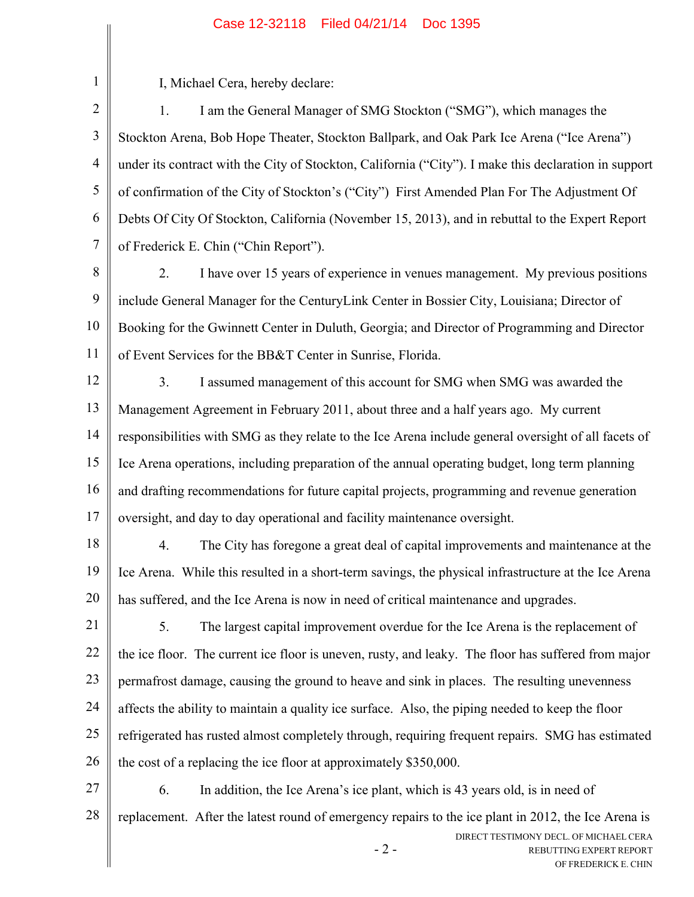1

I, Michael Cera, hereby declare:

2 3 4 5 6 7 1. I am the General Manager of SMG Stockton ("SMG"), which manages the Stockton Arena, Bob Hope Theater, Stockton Ballpark, and Oak Park Ice Arena ("Ice Arena") under its contract with the City of Stockton, California ("City"). I make this declaration in support of confirmation of the City of Stockton's ("City") First Amended Plan For The Adjustment Of Debts Of City Of Stockton, California (November 15, 2013), and in rebuttal to the Expert Report of Frederick E. Chin ("Chin Report").

- 8 9 10 11 2. I have over 15 years of experience in venues management. My previous positions include General Manager for the CenturyLink Center in Bossier City, Louisiana; Director of Booking for the Gwinnett Center in Duluth, Georgia; and Director of Programming and Director of Event Services for the BB&T Center in Sunrise, Florida.
- 12 13 14 15 16 17 3. I assumed management of this account for SMG when SMG was awarded the Management Agreement in February 2011, about three and a half years ago. My current responsibilities with SMG as they relate to the Ice Arena include general oversight of all facets of Ice Arena operations, including preparation of the annual operating budget, long term planning and drafting recommendations for future capital projects, programming and revenue generation oversight, and day to day operational and facility maintenance oversight.
- 18 19 20 4. The City has foregone a great deal of capital improvements and maintenance at the Ice Arena. While this resulted in a short-term savings, the physical infrastructure at the Ice Arena has suffered, and the Ice Arena is now in need of critical maintenance and upgrades.
- 21 22 23 24 25 26 5. The largest capital improvement overdue for the Ice Arena is the replacement of the ice floor. The current ice floor is uneven, rusty, and leaky. The floor has suffered from major permafrost damage, causing the ground to heave and sink in places. The resulting unevenness affects the ability to maintain a quality ice surface. Also, the piping needed to keep the floor refrigerated has rusted almost completely through, requiring frequent repairs. SMG has estimated the cost of a replacing the ice floor at approximately \$350,000.
- $-2-$ DIRECT TESTIMONY DECL. OF MICHAEL CERA REBUTTING EXPERT REPORT 27 28 6. In addition, the Ice Arena's ice plant, which is 43 years old, is in need of replacement. After the latest round of emergency repairs to the ice plant in 2012, the Ice Arena is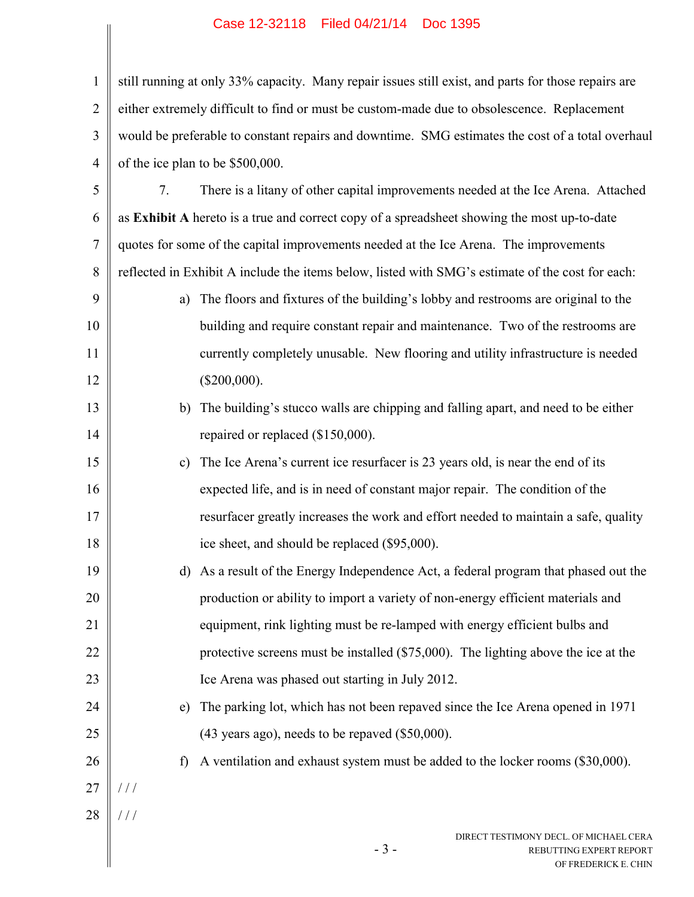|                | Case 12-32118    Filed 04/21/14     DOC 1395                                                        |
|----------------|-----------------------------------------------------------------------------------------------------|
| $\mathbf{1}$   | still running at only 33% capacity. Many repair issues still exist, and parts for those repairs are |
|                |                                                                                                     |
| $\overline{2}$ | either extremely difficult to find or must be custom-made due to obsolescence. Replacement          |
| 3              | would be preferable to constant repairs and downtime. SMG estimates the cost of a total overhaul    |
| $\overline{4}$ | of the ice plan to be \$500,000.                                                                    |
| 5              | There is a litany of other capital improvements needed at the Ice Arena. Attached<br>7.             |
| 6              | as Exhibit A hereto is a true and correct copy of a spreadsheet showing the most up-to-date         |
| 7              | quotes for some of the capital improvements needed at the Ice Arena. The improvements               |
| 8              | reflected in Exhibit A include the items below, listed with SMG's estimate of the cost for each:    |
| 9              | The floors and fixtures of the building's lobby and restrooms are original to the<br>a)             |
| 10             | building and require constant repair and maintenance. Two of the restrooms are                      |
| 11             | currently completely unusable. New flooring and utility infrastructure is needed                    |
| 12             | $(\$200,000).$                                                                                      |
| 13             | The building's stucco walls are chipping and falling apart, and need to be either<br>b)             |
| 14             | repaired or replaced (\$150,000).                                                                   |
| 15             | The Ice Arena's current ice resurfacer is 23 years old, is near the end of its<br>$\mathbf{c})$     |
| 16             | expected life, and is in need of constant major repair. The condition of the                        |
| 17             | resurfacer greatly increases the work and effort needed to maintain a safe, quality                 |
| 18             | ice sheet, and should be replaced (\$95,000).                                                       |
| 19             | As a result of the Energy Independence Act, a federal program that phased out the<br>d)             |
| 20             | production or ability to import a variety of non-energy efficient materials and                     |
| 21             | equipment, rink lighting must be re-lamped with energy efficient bulbs and                          |
| 22             | protective screens must be installed $(\$75,000)$ . The lighting above the ice at the               |
| 23             | Ice Arena was phased out starting in July 2012.                                                     |
| 24             | e) The parking lot, which has not been repaved since the Ice Arena opened in 1971                   |

e) The parking lot, which has not been repaved since the Ice Arena opened in 1971 (43 years ago), needs to be repaved (\$50,000).

f) A ventilation and exhaust system must be added to the locker rooms (\$30,000).

27 / / /

25

26

28 / / /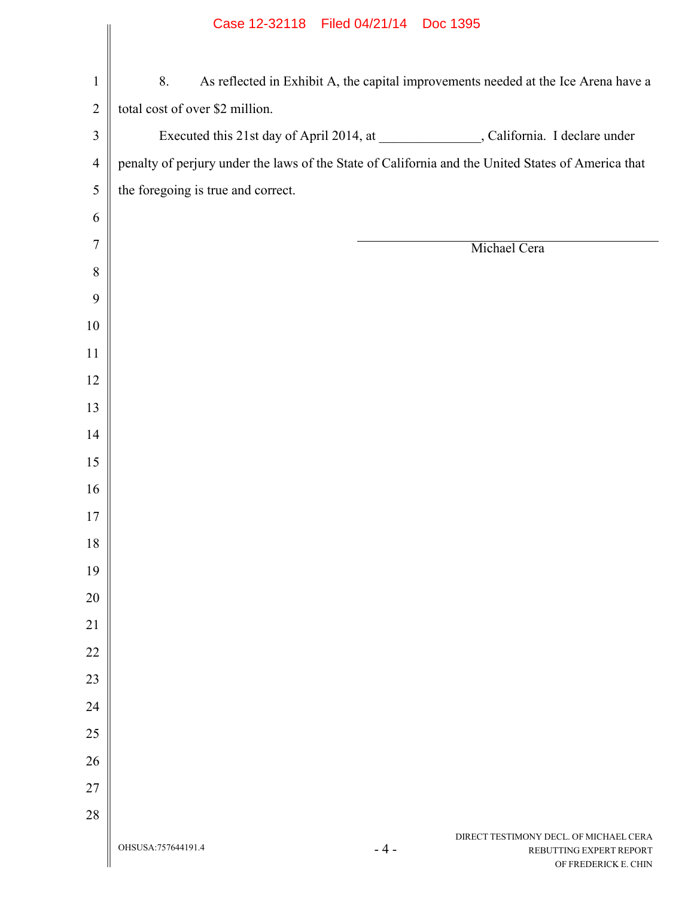|                |                                    | Case IN-32118 Filed 04/21/14 DOC 1395                                                              |
|----------------|------------------------------------|----------------------------------------------------------------------------------------------------|
|                |                                    |                                                                                                    |
| $\mathbf{1}$   | 8.                                 | As reflected in Exhibit A, the capital improvements needed at the Ice Arena have a                 |
| $\overline{2}$ | total cost of over \$2 million.    |                                                                                                    |
| 3              |                                    | Executed this 21st day of April 2014, at ______________, California. I declare under               |
| $\overline{4}$ |                                    | penalty of perjury under the laws of the State of California and the United States of America that |
| 5              | the foregoing is true and correct. |                                                                                                    |
| 6              |                                    |                                                                                                    |
| $\tau$         |                                    | Michael Cera                                                                                       |
| 8              |                                    |                                                                                                    |
| 9              |                                    |                                                                                                    |
| 10             |                                    |                                                                                                    |
| 11             |                                    |                                                                                                    |
| 12             |                                    |                                                                                                    |
| 13             |                                    |                                                                                                    |
| 14             |                                    |                                                                                                    |
| 15             |                                    |                                                                                                    |
| 16             |                                    |                                                                                                    |
| 17             |                                    |                                                                                                    |
| 18             |                                    |                                                                                                    |
| 19             |                                    |                                                                                                    |
| 20             |                                    |                                                                                                    |
| 21             |                                    |                                                                                                    |
| 22             |                                    |                                                                                                    |
| 23             |                                    |                                                                                                    |
| 24             |                                    |                                                                                                    |
| 25             |                                    |                                                                                                    |
| 26             |                                    |                                                                                                    |
| 27             |                                    |                                                                                                    |
| 28             |                                    |                                                                                                    |
|                | OHSUSA: 757644191.4                | DIRECT TESTIMONY DECL. OF MICHAEL CERA<br>$-4-$<br>REBUTTING EXPERT REPORT<br>OF FREDERICK E. CHIN |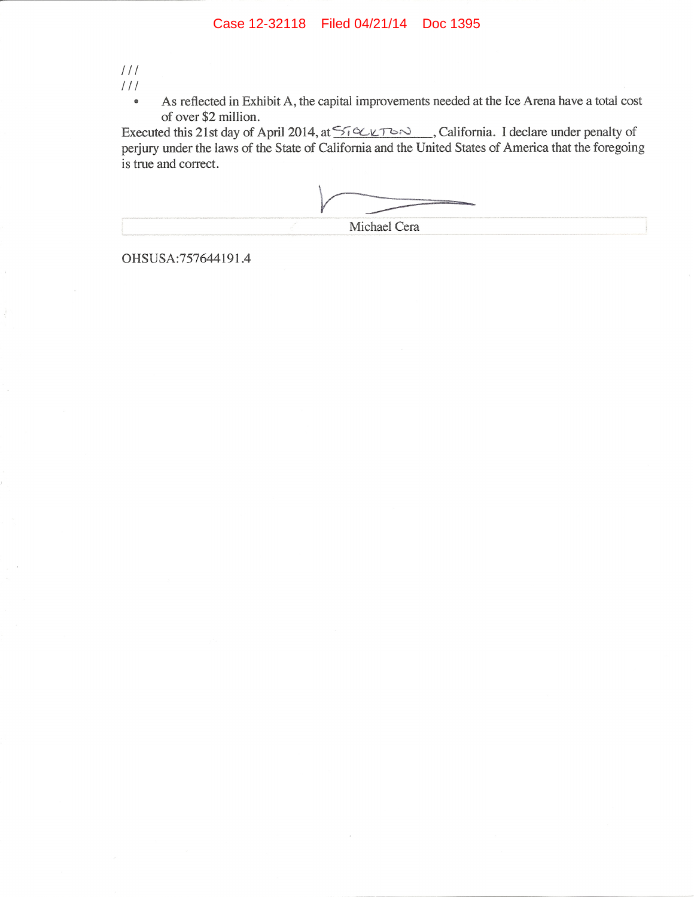$111$ 

 $111$ 

As reflected in Exhibit A, the capital improvements needed at the Ice Arena have a total cost  $\bullet$ of over \$2 million.

Executed this 21st day of April 2014, at  $\frac{5.026763}{10.02763}$ , California. I declare under penalty of perjury under the laws of the State of California and the United States of America that the foregoing is true and correct.

| Michael Cera |
|--------------|
|              |

OHSUSA:757644191.4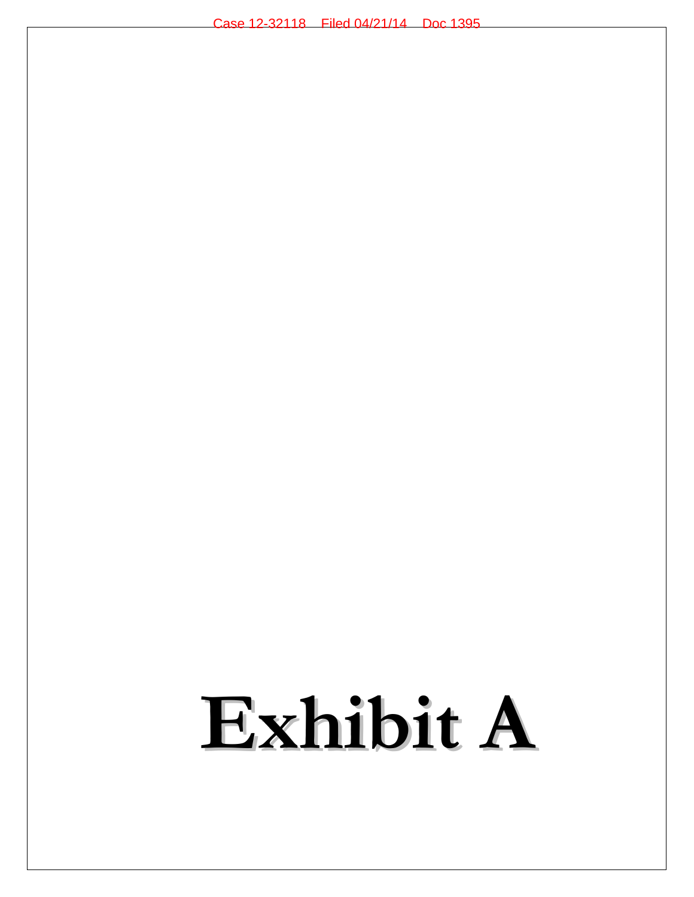# **Exhibit A**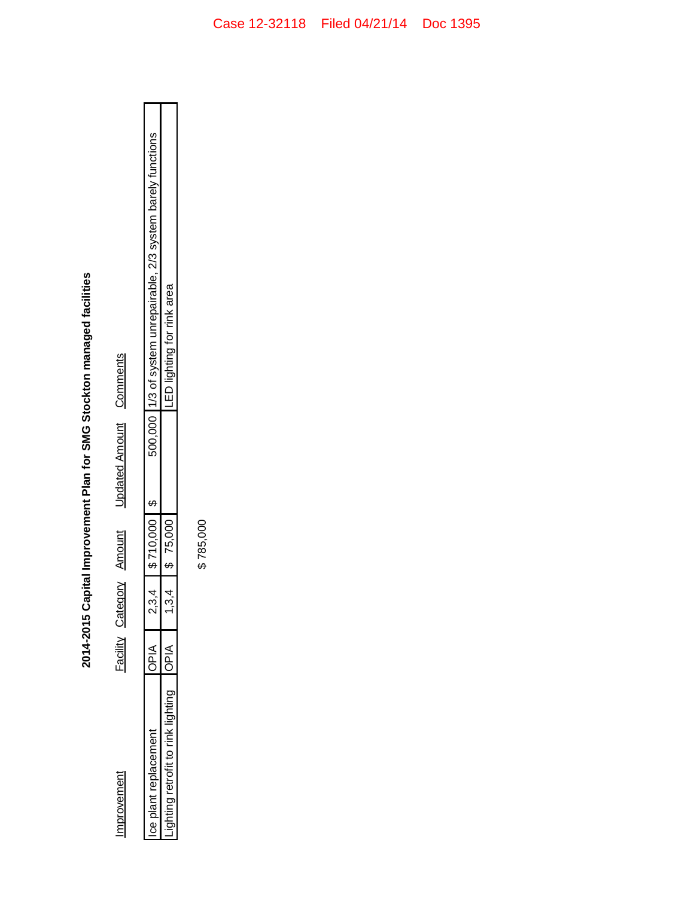| ١                                       |
|-----------------------------------------|
| J<br>֚֡                                 |
| $\frac{1}{2}$<br>;<br>;<br>i            |
| :                                       |
|                                         |
|                                         |
| ラクラ アフク<br>֚֚֚֚֚֚֚֚֚֚֚֚֚֚֚֚֚֚֬֡֡֡֡<br>ì |

Improvement

Updated Amount Comments Facility Category Amount

| í<br><b>September</b> | $\frac{1}{2}$<br>١ | )<br>j | くく くろう | ١<br>$\frac{1}{2}$<br>FOO 000 14/3 of system uprepairable 2/3 system barely f<br>,<br>)<br>)<br> <br> <br> <br> <br> <br> <br> <br> |
|-----------------------|--------------------|--------|--------|-------------------------------------------------------------------------------------------------------------------------------------|
|                       | ا<br>ہ             |        | くくしけ   | calc )<br>֧֝֝֜֜֜֜֜֜֜֜֜֜֜֜֜֜֜֜֜<br>֧֪֝֜֜֜֜֜֜֜ <del>֘</del><br>.<br> <br>                                                             |

\$785,000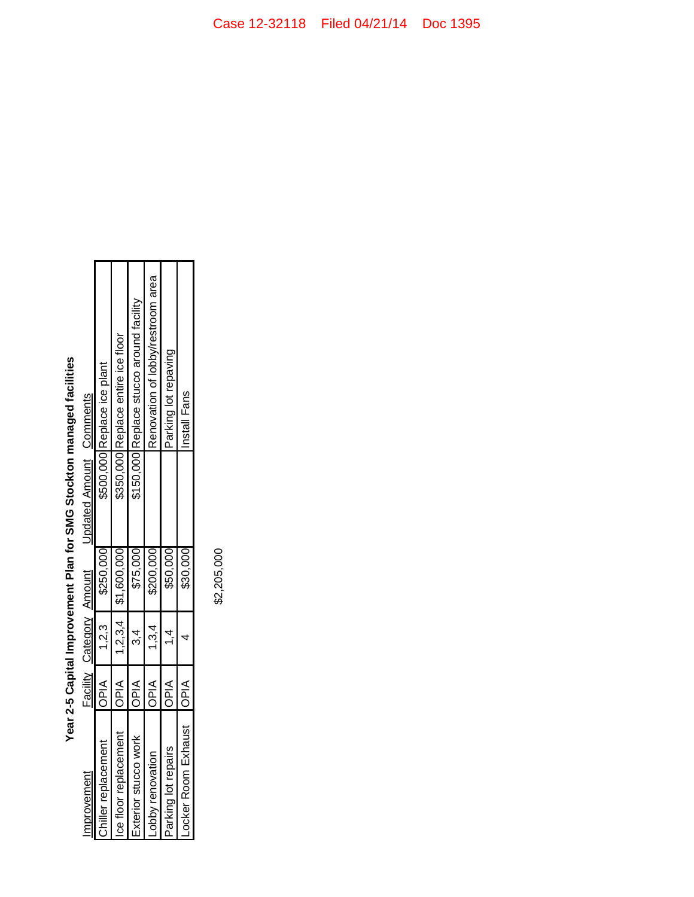| mprovement                |             | Facility Category Amount |                         | Updated Amount Comments |                                          |
|---------------------------|-------------|--------------------------|-------------------------|-------------------------|------------------------------------------|
| Chiller replacement       | OPIA        | 1.2.3                    | \$250,000               |                         | \$500,000 Replace ice plant              |
| ient<br>ce floor replacem | loPIA       |                          | $1,2,3,4$   \$1,600,000 |                         | \$350,000 Replace entire ice floor       |
| ŏ<br>Exterior stucco w    | <b>OPIA</b> | ა.<br>4                  | \$75,000                |                         | \$150,000 Replace stucco around facility |
| hby renovation            | OPIA        | 1.3.4                    | \$200,000               |                         | Renovation of lobby/restroom area        |
| Parking lot repairs       | <b>AIdO</b> |                          | \$50,000                |                         | Parking lot repaving                     |
| ocker Room Exhaust   OPIA |             |                          | \$30,000                |                         | Install Fans                             |

Year 2-5 Capital Improvement Plan for SMG Stockton managed facilities

\$2,205,000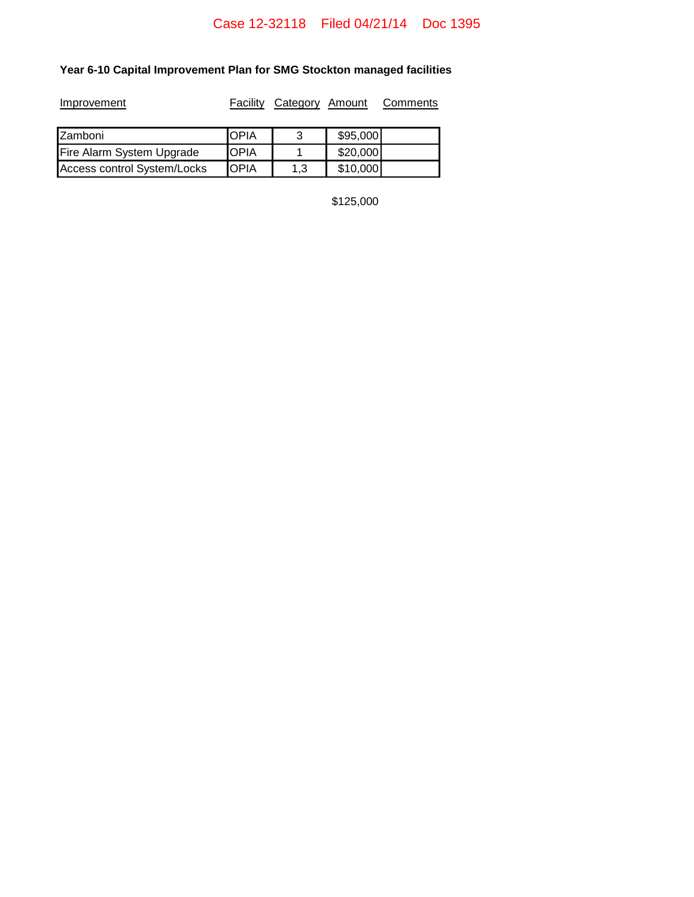# **Year 6-10 Capital Improvement Plan for SMG Stockton managed facilities**

| Improvement                 | Facility    | Category Amount |          | Comments |
|-----------------------------|-------------|-----------------|----------|----------|
| <b>Zamboni</b>              | IOPIA       | 3               | \$95,000 |          |
| Fire Alarm System Upgrade   | <b>OPIA</b> |                 | \$20,000 |          |
| Access control System/Locks | <b>OPIA</b> | 1.3             | \$10,000 |          |

\$125,000